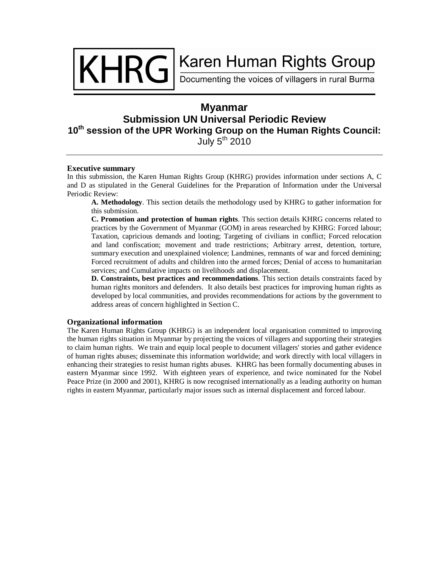KHRGI

# Karen Human Rights Group

Documenting the voices of villagers in rural Burma

# **Myanmar Submission UN Universal Periodic Review 10th session of the UPR Working Group on the Human Rights Council:** July  $5<sup>th</sup>$  2010

#### **Executive summary**

In this submission, the Karen Human Rights Group (KHRG) provides information under sections A, C and D as stipulated in the General Guidelines for the Preparation of Information under the Universal Periodic Review:

**A. Methodology**. This section details the methodology used by KHRG to gather information for this submission.

**C. Promotion and protection of human rights**. This section details KHRG concerns related to practices by the Government of Myanmar (GOM) in areas researched by KHRG: Forced labour; Taxation, capricious demands and looting; Targeting of civilians in conflict; Forced relocation and land confiscation; movement and trade restrictions; Arbitrary arrest, detention, torture, summary execution and unexplained violence; Landmines, remnants of war and forced demining; Forced recruitment of adults and children into the armed forces; Denial of access to humanitarian services; and Cumulative impacts on livelihoods and displacement.

**D. Constraints, best practices and recommendations**. This section details constraints faced by human rights monitors and defenders. It also details best practices for improving human rights as developed by local communities, and provides recommendations for actions by the government to address areas of concern highlighted in Section C.

# **Organizational information**

The Karen Human Rights Group (KHRG) is an independent local organisation committed to improving the human rights situation in Myanmar by projecting the voices of villagers and supporting their strategies to claim human rights. We train and equip local people to document villagers' stories and gather evidence of human rights abuses; disseminate this information worldwide; and work directly with local villagers in enhancing their strategies to resist human rights abuses. KHRG has been formally documenting abuses in eastern Myanmar since 1992. With eighteen years of experience, and twice nominated for the Nobel Peace Prize (in 2000 and 2001), KHRG is now recognised internationally as a leading authority on human rights in eastern Myanmar, particularly major issues such as internal displacement and forced labour.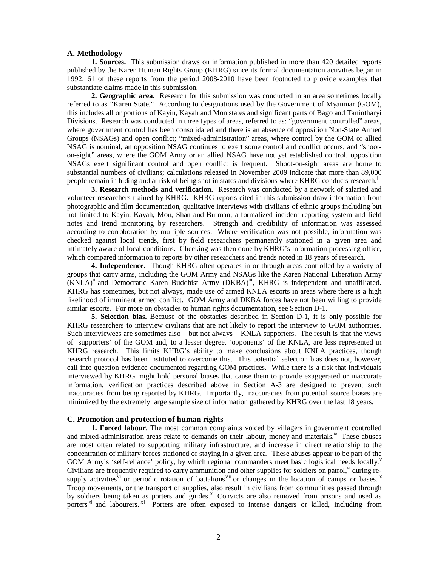## **A. Methodology**

**1. Sources.** This submission draws on information published in more than 420 detailed reports published by the Karen Human Rights Group (KHRG) since its formal documentation activities began in 1992; 61 of these reports from the period 2008-2010 have been footnoted to provide examples that substantiate claims made in this submission.

**2. Geographic area.** Research for this submission was conducted in an area sometimes locally referred to as "Karen State." According to designations used by the Government of Myanmar (GOM), this includes all or portions of Kayin, Kayah and Mon states and significant parts of Bago and Tanintharyi Divisions. Research was conducted in three types of areas, referred to as: "government controlled" areas, where government control has been consolidated and there is an absence of opposition Non-State Armed Groups (NSAGs) and open conflict; "mixed-administration" areas, where control by the GOM or allied NSAG is nominal, an opposition NSAG continues to exert some control and conflict occurs; and "shooton-sight" areas, where the GOM Army or an allied NSAG have not yet established control, opposition NSAGs exert significant control and open conflict is frequent. Shoot-on-sight areas are home to substantial numbers of civilians; calculations released in November 2009 indicate that more than 89,000 people remain in hiding and at risk of being shot in states and divisions where KHRG conducts research.

**3. Research methods and verification.** Research was conducted by a network of salaried and volunteer researchers trained by KHRG. KHRG reports cited in this submission draw information from photographic and film documentation, qualitative interviews with civilians of ethnic groups including but not limited to Kayin, Kayah, Mon, Shan and Burman, a formalized incident reporting system and field notes and trend monitoring by researchers. Strength and credibility of information was assessed according to corroboration by multiple sources. Where verification was not possible, information was checked against local trends, first by field researchers permanently stationed in a given area and intimately aware of local conditions. Checking was then done by KHRG's information processing office, which compared information to reports by other researchers and trends noted in 18 years of research.

**4. Independence.** Though KHRG often operates in or through areas controlled by a variety of groups that carry arms, including the GOM Army and NSAGs like the Karen National Liberation Army (KNLA)<sup>ii</sup> and Democratic Karen Buddhist Army (DKBA)<sup>iii</sup>, KHRG is independent and unaffiliated. KHRG has sometimes, but not always, made use of armed KNLA escorts in areas where there is a high likelihood of imminent armed conflict. GOM Army and DKBA forces have not been willing to provide similar escorts. For more on obstacles to human rights documentation, see Section D-1.

**5. Selection bias.** Because of the obstacles described in Section D-1, it is only possible for KHRG researchers to interview civilians that are not likely to report the interview to GOM authorities. Such interviewees are sometimes also – but not always – KNLA supporters. The result is that the views of 'supporters' of the GOM and, to a lesser degree, 'opponents' of the KNLA, are less represented in KHRG research. This limits KHRG's ability to make conclusions about KNLA practices, though research protocol has been instituted to overcome this. This potential selection bias does not, however, call into question evidence documented regarding GOM practices. While there is a risk that individuals interviewed by KHRG might hold personal biases that cause them to provide exaggerated or inaccurate information, verification practices described above in Section A-3 are designed to prevent such inaccuracies from being reported by KHRG. Importantly, inaccuracies from potential source biases are minimized by the extremely large sample size of information gathered by KHRG over the last 18 years.

#### **C. Promotion and protection of human rights**

**1. Forced labour**. The most common complaints voiced by villagers in government controlled and mixed-administration areas relate to demands on their labour, money and materials.<sup>iv</sup> These abuses are most often related to supporting military infrastructure, and increase in direct relationship to the concentration of military forces stationed or staying in a given area. These abuses appear to be part of the GOM Army's 'self-reliance' policy, by which regional commanders meet basic logistical needs locally.<sup>v</sup> Civilians are frequently required to carry ammunition and other supplies for soldiers on patrol, v<sup>i</sup> during resupply activities<sup>vii</sup> or periodic rotation of battalions<sup>viii</sup> or changes in the location of camps or bases.<sup>ix</sup> Troop movements, or the transport of supplies, also result in civilians from communities passed through by soldiers being taken as porters and guides.<sup>x</sup> Convicts are also removed from prisons and used as porters<sup>xi</sup> and labourers. <sup>xii</sup> Porters are often exposed to intense dangers or killed, including from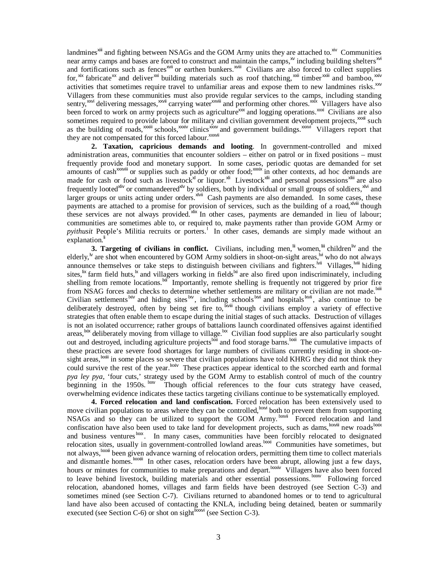landmines<sup>xiii</sup> and fighting between NSAGs and the GOM Army units they are attached to.<sup>xiv</sup> Communities near army camps and bases are forced to construct and maintain the camps, $\frac{x}{x}$  including building shelters $\frac{x}{x}$ and fortifications such as fences<sup>xvii</sup> or earthen bunkers.<sup>xviii</sup> Civilians are also forced to collect supplies for,  $x$ <sup>xix</sup> fabricate<sup>xx</sup> and deliver<sup> $x$ xi</sup> building materials such as roof thatching,  $x$ <sup>xii</sup> timber  $x$ <sup>xiii</sup> and bamboo,  $x$ <sup>11</sup> activities that sometimes require travel to unfamiliar areas and expose them to new landmines risks.<sup>xxv</sup> Villagers from these communities must also provide regular services to the camps, including standing sentry,<sup>xxvi</sup> delivering messages,<sup>xxvii</sup> carrying water<sup>xxviii</sup> and performing other chores.<sup>xxix</sup> Villagers have also been forced to work on army projects such as agriculture<sup>xxx</sup> and logging operations.<sup>xxi</sup> Civilians are also sometimes required to provide labour for military and civilian government development projects,<sup>xxxii</sup> such as the building of roads,<sup>xxxii</sup> schools,<sup>xxxiv</sup> clinics<sup>xxxv</sup> and government buildings.<sup>xxxvi</sup> Villagers report that they are not compensated for this forced labour.<sup>xxxvii</sup>

**2. Taxation, capricious demands and looting**. In government-controlled and mixed administration areas, communities that encounter soldiers – either on patrol or in fixed positions – must frequently provide food and monetary support. In some cases, periodic quotas are demanded for set amounts of cash<sup>xxxviii</sup> or supplies such as paddy or other food;<sup>xxxix</sup> in other contexts, ad hoc demands are made for cash or food such as livestock<sup>xl</sup> or liquor.<sup>xli</sup> Livestock<sup>xlii</sup> and personal possessions<sup>xliii</sup> are also frequently looted<sup>xliv</sup> or commandeered<sup>xlv</sup> by soldiers, both by individual or small groups of soldiers,<sup>xlvi</sup> and larger groups or units acting under orders.<sup> $x$ Vij</sup> Cash payments are also demanded. In some cases, these payments are attached to a promise for provision of services, such as the building of a road,<sup>xlviii</sup> though these services are not always provided. Xix In other cases, payments are demanded in lieu of labour; communities are sometimes able to, or required to, make payments rather than provide GOM Army or pyithusit People's Militia recruits or porters.<sup>1</sup> In other cases, demands are simply made without an explanation.<sup>li</sup>

**3. Targeting of civilians in conflict.** Civilians, including men, in women, in children liv and the elderly,<sup>*w*</sup> are shot when encountered by GOM Army soldiers in shoot-on-sight areas,<sup>*wi*</sup> who do not always announce themselves or take steps to distinguish between civilians and fighters. Will Villages, Will hiding sites,  $\frac{1}{x}$  farm field huts,<sup> $\frac{1}{x}$ </sup> and villagers working in fields<sup>lxi</sup> are also fired upon indiscriminately, including shelling from remote locations.<sup>kii </sup>Importantly, remote shelling is frequently not triggered by prior fire from NSAG forces and checks to determine whether settlements are military or civilian are not made.<sup>|xiii</sup> Civilian settlements  $\frac{div}{dx}$  and hiding sites  $\frac{dw}{dx}$ , including schools  $\frac{dw}{dx}$  and hospitals  $\frac{dw}{dx}$ , also continue to be deliberately destroyed, often by being set fire to, <sup>kviii</sup> though civilians employ a variety of effective strategies that often enable them to escape during the initial stages of such attacks. Destruction of villages is not an isolated occurrence; rather groups of battalions launch coordinated offensives against identified areas, <sup>kix</sup> deliberately moving from village to village.<sup>1xx</sup> Civilian food supplies are also particularly sought out and destroyed, including agriculture projects<sup>lixi</sup> and food storage barns.<sup>lxxii</sup> The cumulative impacts of these practices are severe food shortages for large numbers of civilians currently residing in shoot-onsight areas, <sup>bxiii</sup> in some places so severe that civilian populations have told KHRG they did not think they could survive the rest of the year.<sup>lxxiv</sup> These practices appear identical to the scorched earth and formal *pya ley pya*, 'four cuts,' strategy used by the GOM Army to establish control of much of the country beginning in the 1950s.  $\frac{bxy}{c}$  Though official references to the four cuts strategy have ceased, overwhelming evidence indicates these tactics targeting civilians continue to be systematically employed.

**4. Forced relocation and land confiscation.** Forced relocation has been extensively used to move civilian populations to areas where they can be controlled, xxvi both to prevent them from supporting NSAGs and so they can be utilized to support the GOM Army. **Example 18** Forced relocation and land confiscation have also been used to take land for development projects, such as dams, staviii new roads boxix and business ventures<sup>lxx</sup>. In many cases, communities have been forcibly relocated to designated relocation sites, usually in government-controlled lowland areas.<sup>lxxi</sup> Communities have sometimes, but not always,<sup>lxxxii</sup> been given advance warning of relocation orders, permitting them time to collect materials and dismantle homes.<sup>lxxxii</sup> In other cases, relocation orders have been abrupt, allowing just a few days, hours or minutes for communities to make preparations and depart.<sup>lxxxiv</sup> Villagers have also been forced to leave behind livestock, building materials and other essential possessions.<sup>1xxx</sup> Following forced relocation, abandoned homes, villages and farm fields have been destroyed (see Section C-3) and sometimes mined (see Section C-7). Civilians returned to abandoned homes or to tend to agricultural land have also been accused of contacting the KNLA, including being detained, beaten or summarily executed (see Section C-6) or shot on sight $\frac{b^{(x)}(x)}{b^{(x)}}$  (see Section C-3).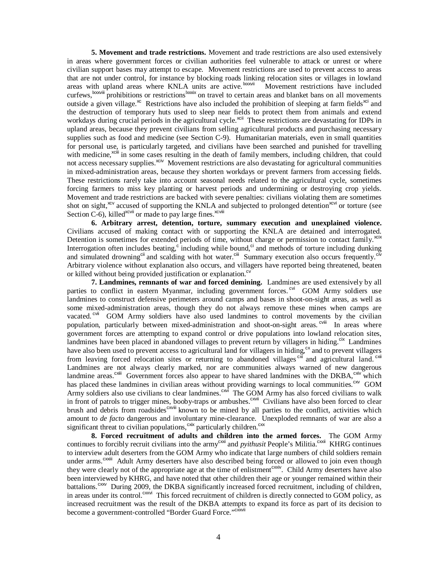**5. Movement and trade restrictions.** Movement and trade restrictions are also used extensively in areas where government forces or civilian authorities feel vulnerable to attack or unrest or where civilian support bases may attempt to escape. Movement restrictions are used to prevent access to areas that are not under control, for instance by blocking roads linking relocation sites or villages in lowland areas with upland areas where KNLA units are active.<sup>lxxxvii</sup> Movement restrictions have included curfews,<sup>lxxxviii</sup> prohibitions or restrictions<sup>lxxxix</sup> on travel to certain areas and blanket bans on all movements outside a given village.<sup>xc</sup> Restrictions have also included the prohibition of sleeping at farm fields<sup>xci</sup> and the destruction of temporary huts used to sleep near fields to protect them from animals and extend workdays during crucial periods in the agricultural cycle.<sup>xcii</sup> These restrictions are devastating for IDPs in upland areas, because they prevent civilians from selling agricultural products and purchasing necessary supplies such as food and medicine (see Section C-9). Humanitarian materials, even in small quantities for personal use, is particularly targeted, and civilians have been searched and punished for travelling with medicine,<sup>xciii</sup> in some cases resulting in the death of family members, including children, that could not access necessary supplies.<sup>xciv</sup> Movement restrictions are also devastating for agricultural communities in mixed-administration areas, because they shorten workdays or prevent farmers from accessing fields. These restrictions rarely take into account seasonal needs related to the agricultural cycle, sometimes forcing farmers to miss key planting or harvest periods and undermining or destroying crop yields. Movement and trade restrictions are backed with severe penalties: civilians violating them are sometimes shot on sight,<sup>xcv</sup> accused of supporting the KNLA and subjected to prolonged detention<sup>xcvi</sup> or torture (see Section  $C$ -6), killed<sup>xcvii</sup> or made to pay large fines. $x$ cviii

**6. Arbitrary arrest, detention, torture, summary execution and unexplained violence.**  Civilians accused of making contact with or supporting the KNLA are detained and interrogated. Detention is sometimes for extended periods of time, without charge or permission to contact family.<sup>xcix</sup> Interrogation often includes beating,<sup>c</sup> including while bound,<sup>ci</sup> and methods of torture including dunking and simulated drowning<sup>cii</sup> and scalding with hot water.<sup>ciii</sup> Summary execution also occurs frequently.<sup>c</sup> Arbitrary violence without explanation also occurs, and villagers have reported being threatened, beaten or killed without being provided justification or explanation.<sup>cv</sup>

**7. Landmines, remnants of war and forced demining.** Landmines are used extensively by all parties to conflict in eastern Myanmar, including government forces.<sup>cvi</sup> GOM Army soldiers use landmines to construct defensive perimeters around camps and bases in shoot-on-sight areas, as well as some mixed-administration areas, though they do not always remove these mines when camps are vacated.<sup>cvii</sup> GOM Army soldiers have also used landmines to control movements by the civilian population, particularly between mixed-administration and shoot-on-sight areas.<sup>cviii</sup> In areas where government forces are attempting to expand control or drive populations into lowland relocation sites, landmines have been placed in abandoned villages to prevent return by villagers in hiding.<sup>cix</sup> Landmines have also been used to prevent access to agricultural land for villagers in hiding,<sup>cx</sup> and to prevent villagers from leaving forced relocation sites or returning to abandoned villages<sup>cxi</sup> and agricultural land.<sup>cxii</sup> Landmines are not always clearly marked, nor are communities always warned of new dangerous landmine areas.<sup> $c\text{x}$ ii Government forces also appear to have shared landmines with the DKBA, $c\text{x}$ iv which</sup> has placed these landmines in civilian areas without providing warnings to local communities.<sup>cxv</sup> GOM Army soldiers also use civilians to clear landmines.<sup>cxvi</sup> The GOM Army has also forced civilians to walk in front of patrols to trigger mines, booby-traps or ambushes.<sup>cxvii</sup> Civilians have also been forced to clear brush and debris from roadsides<sup>cxviii</sup> known to be mined by all parties to the conflict, activities which amount to *de facto* dangerous and involuntary mine-clearance. Unexploded remnants of war are also a significant threat to civilian populations,<sup>cxix</sup> particularly children.<sup>cxx</sup>

**8. Forced recruitment of adults and children into the armed forces.** The GOM Army continues to forcibly recruit civilians into the army<sup>cxxi</sup> and *pyithusit* People's Militia.<sup>cxxii</sup> KHRG continues to interview adult deserters from the GOM Army who indicate that large numbers of child soldiers remain under arms.<sup>cxxiii</sup> Adult Army deserters have also described being forced or allowed to join even though they were clearly not of the appropriate age at the time of enlistment<sup>cxxiv</sup>. Child Army deserters have also been interviewed by KHRG, and have noted that other children their age or younger remained within their battalions.<sup>cxxv</sup> During 2009, the DKBA significantly increased forced recruitment, including of children, in areas under its control.<sup>cxxvi</sup> This forced recruitment of children is directly connected to GOM policy, as increased recruitment was the result of the DKBA attempts to expand its force as part of its decision to become a government-controlled "Border Guard Force."<sup>cxxvii</sup>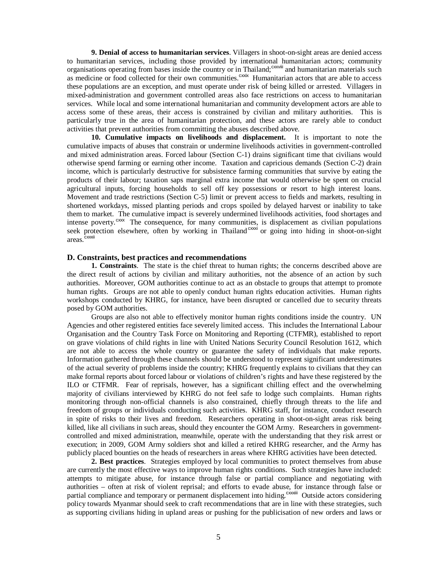**9. Denial of access to humanitarian services**. Villagers in shoot-on-sight areas are denied access to humanitarian services, including those provided by international humanitarian actors; community organisations operating from bases inside the country or in Thailand;<sup>cxxviii</sup> and humanitarian materials such as medicine or food collected for their own communities.<sup>cxxix</sup> Humanitarian actors that are able to access these populations are an exception, and must operate under risk of being killed or arrested. Villagers in mixed-administration and government controlled areas also face restrictions on access to humanitarian services. While local and some international humanitarian and community development actors are able to access some of these areas, their access is constrained by civilian and military authorities. This is particularly true in the area of humanitarian protection, and these actors are rarely able to conduct activities that prevent authorities from committing the abuses described above.

**10. Cumulative impacts on livelihoods and displacement.** It is important to note the cumulative impacts of abuses that constrain or undermine livelihoods activities in government-controlled and mixed administration areas. Forced labour (Section C-1) drains significant time that civilians would otherwise spend farming or earning other income. Taxation and capricious demands (Section C-2) drain income, which is particularly destructive for subsistence farming communities that survive by eating the products of their labour; taxation saps marginal extra income that would otherwise be spent on crucial agricultural inputs, forcing households to sell off key possessions or resort to high interest loans. Movement and trade restrictions (Section C-5) limit or prevent access to fields and markets, resulting in shortened workdays, missed planting periods and crops spoiled by delayed harvest or inability to take them to market. The cumulative impact is severely undermined livelihoods activities, food shortages and intense poverty.<sup>cxx</sup> The consequence, for many communities, is displacement as civilian populations seek protection elsewhere, often by working in Thailand<sup>cxxxi</sup> or going into hiding in shoot-on-sight areas. cxxxii

#### **D. Constraints, best practices and recommendations**

**1. Constraints**. The state is the chief threat to human rights; the concerns described above are the direct result of actions by civilian and military authorities, not the absence of an action by such authorities. Moreover, GOM authorities continue to act as an obstacle to groups that attempt to promote human rights. Groups are not able to openly conduct human rights education activities. Human rights workshops conducted by KHRG, for instance, have been disrupted or cancelled due to security threats posed by GOM authorities.

Groups are also not able to effectively monitor human rights conditions inside the country. UN Agencies and other registered entities face severely limited access. This includes the International Labour Organisation and the Country Task Force on Monitoring and Reporting (CTFMR), established to report on grave violations of child rights in line with United Nations Security Council Resolution 1612, which are not able to access the whole country or guarantee the safety of individuals that make reports. Information gathered through these channels should be understood to represent significant underestimates of the actual severity of problems inside the country; KHRG frequently explains to civilians that they can make formal reports about forced labour or violations of children's rights and have these registered by the ILO or CTFMR. Fear of reprisals, however, has a significant chilling effect and the overwhelming majority of civilians interviewed by KHRG do not feel safe to lodge such complaints. Human rights monitoring through non-official channels is also constrained, chiefly through threats to the life and freedom of groups or individuals conducting such activities. KHRG staff, for instance, conduct research in spite of risks to their lives and freedom. Researchers operating in shoot-on-sight areas risk being killed, like all civilians in such areas, should they encounter the GOM Army. Researchers in governmentcontrolled and mixed administration, meanwhile, operate with the understanding that they risk arrest or execution; in 2009, GOM Army soldiers shot and killed a retired KHRG researcher, and the Army has publicly placed bounties on the heads of researchers in areas where KHRG activities have been detected.

**2. Best practices**. Strategies employed by local communities to protect themselves from abuse are currently the most effective ways to improve human rights conditions. Such strategies have included: attempts to mitigate abuse, for instance through false or partial compliance and negotiating with authorities – often at risk of violent reprisal; and efforts to evade abuse, for instance through false or partial compliance and temporary or permanent displacement into hiding.<sup>cxxxii</sup> Outside actors considering policy towards Myanmar should seek to craft recommendations that are in line with these strategies, such as supporting civilians hiding in upland areas or pushing for the publicisation of new orders and laws or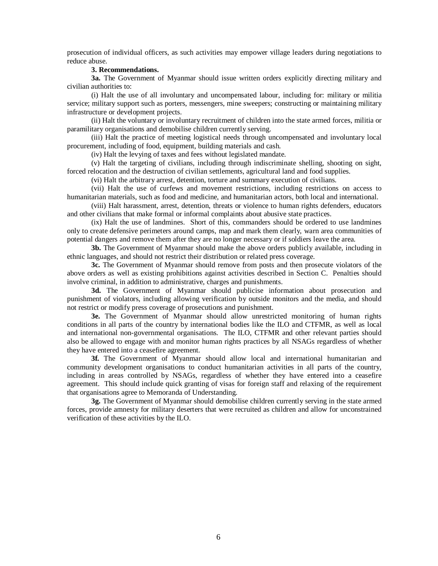prosecution of individual officers, as such activities may empower village leaders during negotiations to reduce abuse.

### **3. Recommendations.**

**3a.** The Government of Myanmar should issue written orders explicitly directing military and civilian authorities to:

(i) Halt the use of all involuntary and uncompensated labour, including for: military or militia service; military support such as porters, messengers, mine sweepers; constructing or maintaining military infrastructure or development projects.

(ii) Halt the voluntary or involuntary recruitment of children into the state armed forces, militia or paramilitary organisations and demobilise children currently serving.

(iii) Halt the practice of meeting logistical needs through uncompensated and involuntary local procurement, including of food, equipment, building materials and cash.

(iv) Halt the levying of taxes and fees without legislated mandate.

(v) Halt the targeting of civilians, including through indiscriminate shelling, shooting on sight, forced relocation and the destruction of civilian settlements, agricultural land and food supplies.

(vi) Halt the arbitrary arrest, detention, torture and summary execution of civilians.

(vii) Halt the use of curfews and movement restrictions, including restrictions on access to humanitarian materials, such as food and medicine, and humanitarian actors, both local and international.

(viii) Halt harassment, arrest, detention, threats or violence to human rights defenders, educators and other civilians that make formal or informal complaints about abusive state practices.

(ix) Halt the use of landmines. Short of this, commanders should be ordered to use landmines only to create defensive perimeters around camps, map and mark them clearly, warn area communities of potential dangers and remove them after they are no longer necessary or if soldiers leave the area.

**3b.** The Government of Myanmar should make the above orders publicly available, including in ethnic languages, and should not restrict their distribution or related press coverage.

**3c.** The Government of Myanmar should remove from posts and then prosecute violators of the above orders as well as existing prohibitions against activities described in Section C. Penalties should involve criminal, in addition to administrative, charges and punishments.

**3d.** The Government of Myanmar should publicise information about prosecution and punishment of violators, including allowing verification by outside monitors and the media, and should not restrict or modify press coverage of prosecutions and punishment.

**3e.** The Government of Myanmar should allow unrestricted monitoring of human rights conditions in all parts of the country by international bodies like the ILO and CTFMR, as well as local and international non-governmental organisations. The ILO, CTFMR and other relevant parties should also be allowed to engage with and monitor human rights practices by all NSAGs regardless of whether they have entered into a ceasefire agreement.

**3f.** The Government of Myanmar should allow local and international humanitarian and community development organisations to conduct humanitarian activities in all parts of the country, including in areas controlled by NSAGs, regardless of whether they have entered into a ceasefire agreement. This should include quick granting of visas for foreign staff and relaxing of the requirement that organisations agree to Memoranda of Understanding.

**3g.** The Government of Myanmar should demobilise children currently serving in the state armed forces, provide amnesty for military deserters that were recruited as children and allow for unconstrained verification of these activities by the ILO.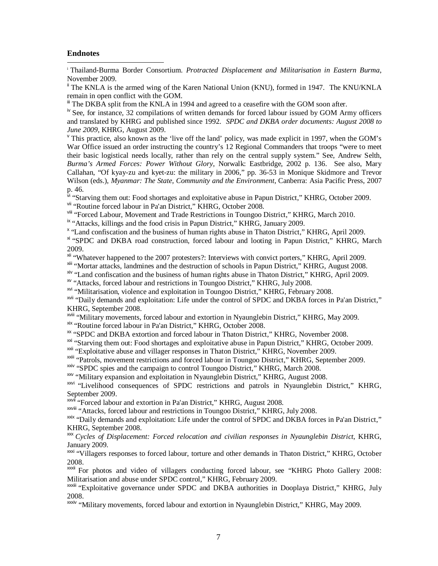# **Endnotes**

 $\overline{a}$ 

i Thailand-Burma Border Consortium. *Protracted Displacement and Militarisation in Eastern Burma*, November 2009.

<sup>ii</sup> The KNLA is the armed wing of the Karen National Union (KNU), formed in 1947. The KNU/KNLA remain in open conflict with the GOM.

<sup>iii</sup> The DKBA split from the KNLA in 1994 and agreed to a ceasefire with the GOM soon after.

<sup>iv</sup> See, for instance, 32 compilations of written demands for forced labour issued by GOM Army officers and translated by KHRG and published since 1992. *SPDC and DKBA order documents: August 2008 to June 2009*, KHRG, August 2009.

<sup>v</sup> This practice, also known as the 'live off the land' policy, was made explicit in 1997, when the GOM's War Office issued an order instructing the country's 12 Regional Commanders that troops "were to meet" their basic logistical needs locally, rather than rely on the central supply system." See, Andrew Selth, *Burma's Armed Forces: Power Without Glory*, Norwalk: Eastbridge, 2002 p. 136. See also, Mary Callahan, "Of kyay-zu and kyet-zu: the military in 2006," pp. 36-53 in Monique Skidmore and Trevor Wilson (eds.), *Myanmar: The State, Community and the Environment*, Canberra: Asia Pacific Press, 2007 p. 46.

<sup>1</sup> "Starving them out: Food shortages and exploitative abuse in Papun District," KHRG, October 2009. vii "Routine forced labour in Pa'an District," KHRG, October 2008.

viii "Forced Labour, Movement and Trade Restrictions in Toungoo District," KHRG, March 2010.

<sup>ix</sup> "Attacks, killings and the food crisis in Papun District," KHRG, January 2009.

<sup>x</sup> "Land confiscation and the business of human rights abuse in Thaton District," KHRG, April 2009. <sup>xi</sup> "SPDC and DKBA road construction, forced labour and looting in Papun District," KHRG, March

2009.

xii "Whatever happened to the 2007 protesters?: Interviews with convict porters," KHRG, April 2009.

xiii "Mortar attacks, landmines and the destruction of schools in Papun District," KHRG, August 2008.

xiv "Land confiscation and the business of human rights abuse in Thaton District," KHRG, April 2009.

xv "Attacks, forced labour and restrictions in Toungoo District," KHRG, July 2008.

xvi "Militarisation, violence and exploitation in Toungoo District," KHRG, February 2008.

xvii "Daily demands and exploitation: Life under the control of SPDC and DKBA forces in Pa'an District," KHRG, September 2008.

xviii "Military movements, forced labour and extortion in Nyaunglebin District," KHRG, May 2009.

xix "Routine forced labour in Pa'an District," KHRG, October 2008.

xx "SPDC and DKBA extortion and forced labour in Thaton District," KHRG, November 2008.

<sup>xxi</sup> "Starving them out: Food shortages and exploitative abuse in Papun District," KHRG, October 2009.

xxii "Exploitative abuse and villager responses in Thaton District," KHRG, November 2009.

xxiii "Patrols, movement restrictions and forced labour in Toungoo District," KHRG, September 2009.

<sup>xxiv</sup> "SPDC spies and the campaign to control Toungoo District," KHRG, March 2008.

xxv "Military expansion and exploitation in Nyaunglebin District," KHRG, August 2008.

<sup>xxvi</sup> "Livelihood consequences of SPDC restrictions and patrols in Nyaunglebin District," KHRG, September 2009.

xxvii "Forced labour and extortion in Pa'an District," KHRG, August 2008.

xxviii "Attacks, forced labour and restrictions in Toungoo District," KHRG, July 2008.

xxix "Daily demands and exploitation: Life under the control of SPDC and DKBA forces in Pa'an District," KHRG, September 2008.

xxx *Cycles of Displacement: Forced relocation and civilian responses in Nyaunglebin District*, KHRG, January 2009.

xxi "Villagers responses to forced labour, torture and other demands in Thaton District," KHRG, October 2008.

xxii For photos and video of villagers conducting forced labour, see "KHRG Photo Gallery 2008: Militarisation and abuse under SPDC control," KHRG, February 2009.

XXIII "Exploitative governance under SPDC and DKBA authorities in Dooplaya District," KHRG, July 2008.

xxiv "Military movements, forced labour and extortion in Nyaunglebin District," KHRG, May 2009.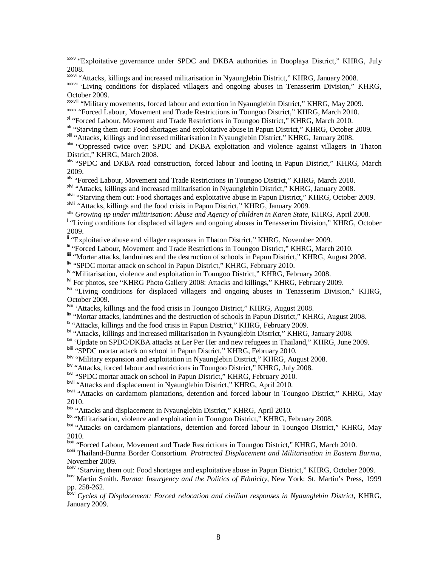<sup>xxxv</sup> "Exploitative governance under SPDC and DKBA authorities in Dooplaya District," KHRG, July 2008.

xxvi "Attacks, killings and increased militarisation in Nyaunglebin District," KHRG, January 2008. xxvii 'Living conditions for displaced villagers and ongoing abuses in Tenasserim Division," KHRG, October 2009.

xxxviii "Military movements, forced labour and extortion in Nyaunglebin District," KHRG, May 2009.

xxix "Forced Labour, Movement and Trade Restrictions in Toungoo District," KHRG, March 2010.

xl "Forced Labour, Movement and Trade Restrictions in Toungoo District," KHRG, March 2010.

xli "Starving them out: Food shortages and exploitative abuse in Papun District," KHRG, October 2009.

xlii "Attacks, killings and increased militarisation in Nyaunglebin District," KHRG, January 2008.

xliii "Oppressed twice over: SPDC and DKBA exploitation and violence against villagers in Thaton District," KHRG, March 2008.

xliv "SPDC and DKBA road construction, forced labour and looting in Papun District," KHRG, March 2009.

xlv "Forced Labour, Movement and Trade Restrictions in Toungoo District," KHRG, March 2010.

xlvi "Attacks, killings and increased militarisation in Nyaunglebin District," KHRG, January 2008.

x<sup>lvii</sup> "Starving them out: Food shortages and exploitative abuse in Papun District," KHRG, October 2009. xlviii "Attacks, killings and the food crisis in Papun District," KHRG, January 2009.

xlix *Growing up under militirisation: Abuse and Agency of children in Karen State*, KHRG, April 2008.

l "Living conditions for displaced villagers and ongoing abuses in Tenasserim Division," KHRG, October 2009.

li "Exploitative abuse and villager responses in Thaton District," KHRG, November 2009.

lii "Forced Labour, Movement and Trade Restrictions in Toungoo District," KHRG, March 2010.

liii "Mortar attacks, landmines and the destruction of schools in Papun District," KHRG, August 2008.

liv "SPDC mortar attack on school in Papun District," KHRG, February 2010.

-

lv "Militarisation, violence and exploitation in Toungoo District," KHRG, February 2008.

<sup>M</sup> For photos, see "KHRG Photo Gallery 2008: Attacks and killings," KHRG, February 2009.

lvii "Living conditions for displaced villagers and ongoing abuses in Tenasserim Division," KHRG, October 2009.

lviii 'Attacks, killings and the food crisis in Toungoo District," KHRG, August 2008.

lix "Mortar attacks, landmines and the destruction of schools in Papun District," KHRG, August 2008.

<sup>1x</sup> "Attacks, killings and the food crisis in Papun District," KHRG, February 2009.

<sup>1xi</sup> "Attacks, killings and increased militarisation in Nyaunglebin District," KHRG, January 2008.

<sup>lxii</sup> 'Update on SPDC/DKBA attacks at Ler Per Her and new refugees in Thailand," KHRG, June 2009.

lxiii "SPDC mortar attack on school in Papun District," KHRG, February 2010.

lxiv "Military expansion and exploitation in Nyaunglebin District," KHRG, August 2008.

lxv "Attacks, forced labour and restrictions in Toungoo District," KHRG, July 2008.

lxvi "SPDC mortar attack on school in Papun District," KHRG, February 2010.

lxvii "Attacks and displacement in Nyaunglebin District," KHRG, April 2010.

lxviii "Attacks on cardamom plantations, detention and forced labour in Toungoo District," KHRG, May 2010.

lxix "Attacks and displacement in Nyaunglebin District," KHRG, April 2010.

<sup>lxx</sup> "Militarisation, violence and exploitation in Toungoo District," KHRG, February 2008.

lxxi "Attacks on cardamom plantations, detention and forced labour in Toungoo District," KHRG, May 2010.

lxxii "Forced Labour, Movement and Trade Restrictions in Toungoo District," KHRG, March 2010.

lxxiii Thailand-Burma Border Consortium. *Protracted Displacement and Militarisation in Eastern Burma*, November 2009.

<sup>lxxiv</sup> 'Starving them out: Food shortages and exploitative abuse in Papun District," KHRG, October 2009.

lxxv Martin Smith. *Burma: Insurgency and the Politics of Ethnicity*, New York: St. Martin's Press, 1999 pp. 258-262.

Cycles of Displacement: Forced relocation and civilian responses in Nyaunglebin District, KHRG, January 2009.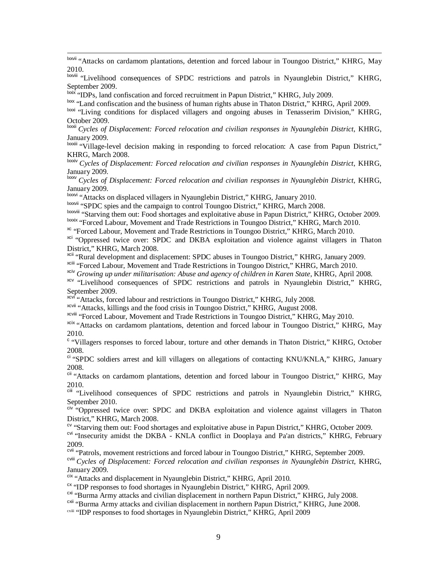<sup>lxxvii</sup> "Attacks on cardamom plantations, detention and forced labour in Toungoo District," KHRG, May 2010.

lxxviii "Livelihood consequences of SPDC restrictions and patrols in Nyaunglebin District," KHRG, September 2009.

lxxix "IDPs, land confiscation and forced recruitment in Papun District," KHRG, July 2009.

-

lxxx "Land confiscation and the business of human rights abuse in Thaton District," KHRG, April 2009.

<sup>lxxxi</sup> "Living conditions for displaced villagers and ongoing abuses in Tenasserim Division," KHRG, October 2009.

lxxxii *Cycles of Displacement: Forced relocation and civilian responses in Nyaunglebin District*, KHRG, January 2009.

lxxxiii "Village-level decision making in responding to forced relocation: A case from Papun District," KHRG, March 2008.

lxxxiv *Cycles of Displacement: Forced relocation and civilian responses in Nyaunglebin District*, KHRG, January 2009.

lxxxv *Cycles of Displacement: Forced relocation and civilian responses in Nyaunglebin District*, KHRG, January 2009.

book "Attacks on displaced villagers in Nyaunglebin District," KHRG, January 2010.

IXXXVII "SPDC spies and the campaign to control Toungoo District," KHRG, March 2008.

lxxxviii "Starving them out: Food shortages and exploitative abuse in Papun District," KHRG, October 2009. lxxxix "Forced Labour, Movement and Trade Restrictions in Toungoo District," KHRG, March 2010.

xc "Forced Labour, Movement and Trade Restrictions in Toungoo District," KHRG, March 2010.

<sup>xci</sup> "Oppressed twice over: SPDC and DKBA exploitation and violence against villagers in Thaton District," KHRG, March 2008.

xcii "Rural development and displacement: SPDC abuses in Toungoo District," KHRG, January 2009.

xciii "Forced Labour, Movement and Trade Restrictions in Toungoo District," KHRG, March 2010.

xciv *Growing up under militarisation: Abuse and agency of children in Karen State*, KHRG, April 2008.

<sup>xcv</sup> "Livelihood consequences of SPDC restrictions and patrols in Nyaunglebin District," KHRG, September 2009.

**xcvi** "Attacks, forced labour and restrictions in Toungoo District," KHRG, July 2008.

xcvii "Attacks, killings and the food crisis in Toungoo District," KHRG, August 2008.

xcviii "Forced Labour, Movement and Trade Restrictions in Toungoo District," KHRG, May 2010.

xcix "Attacks on cardamom plantations, detention and forced labour in Toungoo District," KHRG, May 2010.

<sup>c</sup> "Villagers responses to forced labour, torture and other demands in Thaton District," KHRG, October 2008.

ci "SPDC soldiers arrest and kill villagers on allegations of contacting KNU/KNLA," KHRG, January 2008.

cii "Attacks on cardamom plantations, detention and forced labour in Toungoo District," KHRG, May 2010.

ciii "Livelihood consequences of SPDC restrictions and patrols in Nyaunglebin District," KHRG, September 2010.

<sup>civ "</sup>Oppressed twice over: SPDC and DKBA exploitation and violence against villagers in Thaton District," KHRG, March 2008.

<sup>cv</sup> "Starving them out: Food shortages and exploitative abuse in Papun District," KHRG, October 2009.

<sup>cvi</sup> "Insecurity amidst the DKBA - KNLA conflict in Dooplaya and Pa'an districts," KHRG, February 2009.

<sup>cvii</sup> "Patrols, movement restrictions and forced labour in Toungoo District," KHRG, September 2009.

cviii *Cycles of Displacement: Forced relocation and civilian responses in Nyaunglebin District*, KHRG, January 2009.

cix "Attacks and displacement in Nyaunglebin District," KHRG, April 2010.

 $\alpha$  "IDP responses to food shortages in Nyaunglebin District," KHRG, April 2009.

<sup>cxi</sup> "Burma Army attacks and civilian displacement in northern Papun District," KHRG, July 2008.

<sup>cxii</sup> "Burma Army attacks and civilian displacement in northern Papun District," KHRG, June 2008.

cxiii "IDP responses to food shortages in Nyaunglebin District," KHRG, April 2009